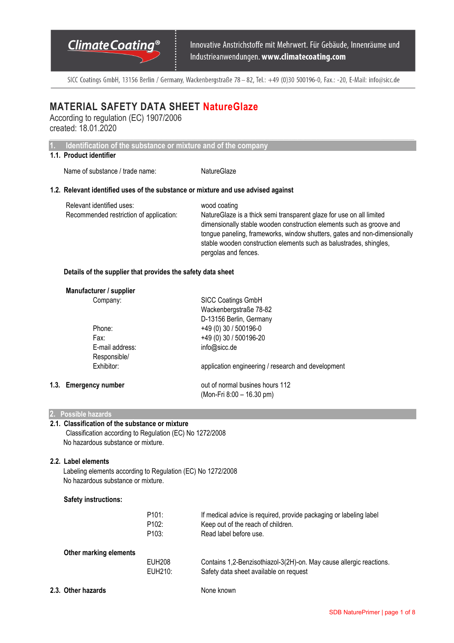SICC Coatings GmbH, 13156 Berlin / Germany, Wackenbergstraße 78 - 82, Tel.: +49 (0)30 500196-0, Fax.: -20, E-Mail: info@sicc.de

 $\_$  , and the state of the state of the state of the state of the state of the state of the state of the state of the state of the state of the state of the state of the state of the state of the state of the state of the

## **MATERIAL SAFETY DATA SHEET NatureGlaze**

According to regulation (EC) 1907/2006 created: 18.01.2020

**1. Identification of the substance or mixture and of the company**

## **1.1. Product identifier**

Name of substance / trade name: NatureGlaze

#### **1.2. Relevant identified uses of the substance or mixture and use advised against**

| Relevant identified uses:               | wood coating                                                              |
|-----------------------------------------|---------------------------------------------------------------------------|
| Recommended restriction of application: | Nature Glaze is a thick semi transparent glaze for use on all limited     |
|                                         | dimensionally stable wooden construction elements such as groove and      |
|                                         | tongue paneling, frameworks, window shutters, gates and non-dimensionally |
|                                         | stable wooden construction elements such as balustrades, shingles,        |
|                                         | pergolas and fences.                                                      |

### **Details of the supplier that provides the safety data sheet**

| Manufacturer / supplier |                                                    |
|-------------------------|----------------------------------------------------|
| Company:                | <b>SICC Coatings GmbH</b>                          |
|                         | Wackenbergstraße 78-82                             |
|                         | D-13156 Berlin, Germany                            |
| Phone:                  | $+49(0)30/500196-0$                                |
| Fax:                    | +49 (0) 30 / 500196-20                             |
| E-mail address:         | info@sicc.de                                       |
| Responsible/            |                                                    |
| Exhibitor:              | application engineering / research and development |
| 1.3. Emergency number   | out of normal busines hours 112                    |
|                         | (Mon-Fri 8:00 - 16.30 pm)                          |

#### **2. Possible hazards**

#### **2.1. Classification of the substance or mixture**  Classification according to Regulation (EC) No 1272/2008 No hazardous substance or mixture.

#### **2.2. Label elements**

Labeling elements according to Regulation (EC) No 1272/2008 No hazardous substance or mixture.

#### **Safety instructions:**

|                        | P101:<br>P <sub>102</sub> : | If medical advice is required, provide packaging or labeling label<br>Keep out of the reach of children. |
|------------------------|-----------------------------|----------------------------------------------------------------------------------------------------------|
|                        | P <sub>103</sub> :          | Read label before use.                                                                                   |
| Other marking elements |                             |                                                                                                          |
|                        | <b>EUH208</b>               | Contains 1,2-Benzisothiazol-3(2H)-on. May cause allergic reactions.                                      |
|                        | $E$ UH <sub>210</sub>       | Safety data sheet available on request                                                                   |
|                        |                             |                                                                                                          |

**2.3. Other hazards None known**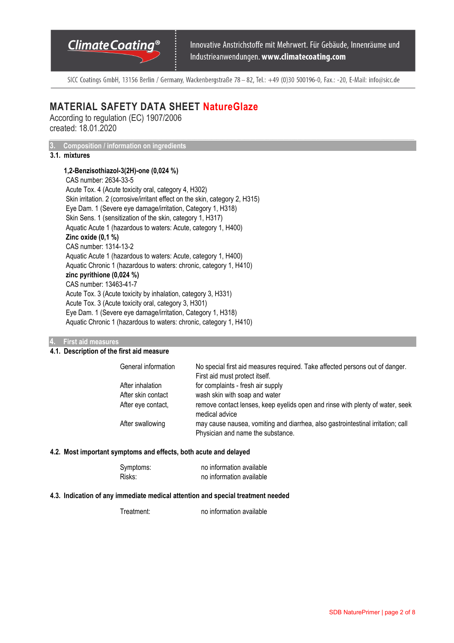# Climate Coating<sup>®</sup>

Innovative Anstrichstoffe mit Mehrwert. Für Gebäude, Innenräume und Industrieanwendungen. www.climatecoating.com

SICC Coatings GmbH, 13156 Berlin / Germany, Wackenbergstraße 78 - 82, Tel.: +49 (0)30 500196-0, Fax.: -20, E-Mail: info@sicc.de

 $\_$  , and the state of the state of the state of the state of the state of the state of the state of the state of the state of the state of the state of the state of the state of the state of the state of the state of the

## **MATERIAL SAFETY DATA SHEET NatureGlaze**

According to regulation (EC) 1907/2006 created: 18.01.2020

**3. Composition / information on ingredients** 

## **3.1. mixtures**

**1,2-Benzisothiazol-3(2H)-one (0,024 %)**  CAS number: 2634-33-5 Acute Tox. 4 (Acute toxicity oral, category 4, H302) Skin irritation. 2 (corrosive/irritant effect on the skin, category 2, H315) Eye Dam. 1 (Severe eye damage/irritation, Category 1, H318) Skin Sens. 1 (sensitization of the skin, category 1, H317) Aquatic Acute 1 (hazardous to waters: Acute, category 1, H400) **Zinc oxide (0,1 %)**  CAS number: 1314-13-2 Aquatic Acute 1 (hazardous to waters: Acute, category 1, H400) Aquatic Chronic 1 (hazardous to waters: chronic, category 1, H410) **zinc pyrithione (0,024 %)**  CAS number: 13463-41-7 Acute Tox. 3 (Acute toxicity by inhalation, category 3, H331) Acute Tox. 3 (Acute toxicity oral, category 3, H301) Eye Dam. 1 (Severe eye damage/irritation, Category 1, H318) Aquatic Chronic 1 (hazardous to waters: chronic, category 1, H410)

#### **4. First aid measures**

### **4.1. Description of the first aid measure**

| General information | No special first aid measures required. Take affected persons out of danger.<br>First aid must protect itself.       |
|---------------------|----------------------------------------------------------------------------------------------------------------------|
| After inhalation    | for complaints - fresh air supply                                                                                    |
| After skin contact  | wash skin with soap and water                                                                                        |
| After eye contact,  | remove contact lenses, keep eyelids open and rinse with plenty of water, seek<br>medical advice                      |
| After swallowing    | may cause nausea, vomiting and diarrhea, also gastrointestinal irritation; call<br>Physician and name the substance. |

#### **4.2. Most important symptoms and effects, both acute and delayed**

| Symptoms: | no information available |
|-----------|--------------------------|
| Risks:    | no information available |

#### **4.3. Indication of any immediate medical attention and special treatment needed**

Treatment: no information available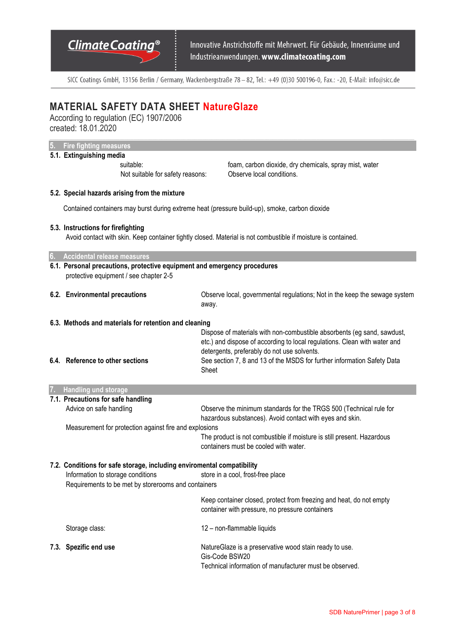Innovative Anstrichstoffe mit Mehrwert. Für Gebäude, Innenräume und Industrieanwendungen. www.climatecoating.com

SICC Coatings GmbH, 13156 Berlin / Germany, Wackenbergstraße 78 - 82, Tel.: +49 (0)30 500196-0, Fax.: -20, E-Mail: info@sicc.de

# **MATERIAL SAFETY DATA SHEET NatureGlaze**

According to regulation (EC) 1907/2006 created: 18.01.2020  $\_$  , and the state of the state of the state of the state of the state of the state of the state of the state of the state of the state of the state of the state of the state of the state of the state of the state of the

**5. Fire fighting measures** 

|    | or - me nghung measures                                                                                            |                                                                                                                                |
|----|--------------------------------------------------------------------------------------------------------------------|--------------------------------------------------------------------------------------------------------------------------------|
|    | 5.1. Extinguishing media                                                                                           |                                                                                                                                |
|    | suitable:                                                                                                          | foam, carbon dioxide, dry chemicals, spray mist, water                                                                         |
|    | Not suitable for safety reasons:                                                                                   | Observe local conditions.                                                                                                      |
|    | 5.2. Special hazards arising from the mixture                                                                      |                                                                                                                                |
|    | Contained containers may burst during extreme heat (pressure build-up), smoke, carbon dioxide                      |                                                                                                                                |
|    | 5.3. Instructions for firefighting                                                                                 |                                                                                                                                |
|    |                                                                                                                    | Avoid contact with skin. Keep container tightly closed. Material is not combustible if moisture is contained.                  |
| 6. | Accidental release measures                                                                                        |                                                                                                                                |
|    | 6.1. Personal precautions, protective equipment and emergency procedures<br>protective equipment / see chapter 2-5 |                                                                                                                                |
|    | 6.2. Environmental precautions                                                                                     | Observe local, governmental regulations; Not in the keep the sewage system<br>away.                                            |
|    | 6.3. Methods and materials for retention and cleaning                                                              |                                                                                                                                |
|    |                                                                                                                    | Dispose of materials with non-combustible absorbents (eg sand, sawdust,                                                        |
|    |                                                                                                                    | etc.) and dispose of according to local regulations. Clean with water and                                                      |
|    | 6.4. Reference to other sections                                                                                   | detergents, preferably do not use solvents.                                                                                    |
|    |                                                                                                                    | See section 7, 8 and 13 of the MSDS for further information Safety Data<br>Sheet                                               |
| 7. | Handling und storage                                                                                               |                                                                                                                                |
|    | 7.1. Precautions for safe handling                                                                                 |                                                                                                                                |
|    | Advice on safe handling                                                                                            | Observe the minimum standards for the TRGS 500 (Technical rule for<br>hazardous substances). Avoid contact with eyes and skin. |
|    | Measurement for protection against fire and explosions                                                             |                                                                                                                                |
|    |                                                                                                                    | The product is not combustible if moisture is still present. Hazardous<br>containers must be cooled with water.                |
|    |                                                                                                                    |                                                                                                                                |
|    | 7.2. Conditions for safe storage, including enviromental compatibility                                             | store in a cool, frost-free place                                                                                              |
|    | Information to storage conditions<br>Requirements to be met by storerooms and containers                           |                                                                                                                                |
|    |                                                                                                                    | Keep container closed, protect from freezing and heat, do not empty                                                            |
|    |                                                                                                                    | container with pressure, no pressure containers                                                                                |
|    | Storage class:                                                                                                     | 12 - non-flammable liquids                                                                                                     |
|    | 7.3. Spezific end use                                                                                              | NatureGlaze is a preservative wood stain ready to use.                                                                         |

Gis-Code BSW20

Technical information of manufacturer must be observed.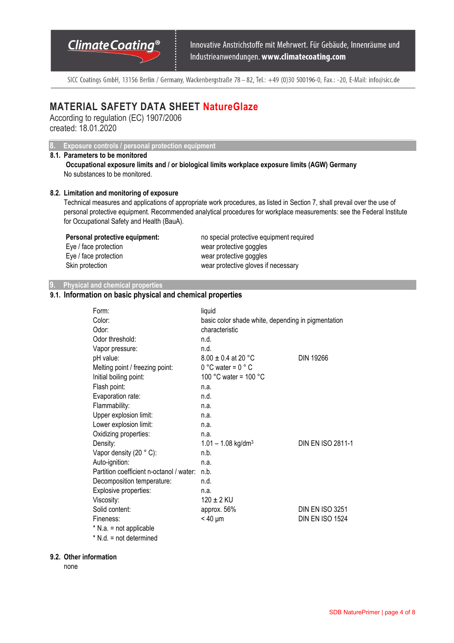Innovative Anstrichstoffe mit Mehrwert. Für Gebäude, Innenräume und Industrieanwendungen. www.climatecoating.com

SICC Coatings GmbH, 13156 Berlin / Germany, Wackenbergstraße 78 - 82, Tel.: +49 (0)30 500196-0, Fax.: -20, E-Mail: info@sicc.de

 $\_$  , and the state of the state of the state of the state of the state of the state of the state of the state of the state of the state of the state of the state of the state of the state of the state of the state of the

# **MATERIAL SAFETY DATA SHEET NatureGlaze**

According to regulation (EC) 1907/2006 created: 18.01.2020

**8. Exposure controls / personal protection equipment** 

## **8.1. Parameters to be monitored**

**Occupational exposure limits and / or biological limits workplace exposure limits (AGW) Germany**  No substances to be monitored.

#### **8.2. Limitation and monitoring of exposure**

Technical measures and applications of appropriate work procedures, as listed in Section 7, shall prevail over the use of personal protective equipment. Recommended analytical procedures for workplace measurements: see the Federal Institute for Occupational Safety and Health (BauA).

| Personal protective equipment: | no special protective equipment required |
|--------------------------------|------------------------------------------|
| Eye / face protection          | wear protective goggles                  |
| Eye / face protection          | wear protective goggles                  |
| Skin protection                | wear protective gloves if necessary      |

### **9. Physical and chemical properties**

## **9.1. Information on basic physical and chemical properties**

| Form:                                    | liquid                                             |                        |
|------------------------------------------|----------------------------------------------------|------------------------|
| Color:                                   | basic color shade white, depending in pigmentation |                        |
| Odor:                                    | characteristic                                     |                        |
| Odor threshold:                          | n.d.                                               |                        |
| Vapor pressure:                          | n.d.                                               |                        |
| pH value:                                | $8.00 \pm 0.4$ at 20 °C                            | <b>DIN 19266</b>       |
| Melting point / freezing point:          | $0 °C$ water = $0 °C$                              |                        |
| Initial boiling point:                   | 100 °C water = 100 °C                              |                        |
| Flash point:                             | n.a.                                               |                        |
| Evaporation rate:                        | n.d.                                               |                        |
| Flammability:                            | n.a.                                               |                        |
| Upper explosion limit:                   | n.a.                                               |                        |
| Lower explosion limit:                   | n.a.                                               |                        |
| Oxidizing properties:                    | n.a.                                               |                        |
| Density:                                 | $1.01 - 1.08$ kg/dm <sup>3</sup>                   | DIN EN ISO 2811-1      |
| Vapor density $(20 ° C)$ :               | n.b.                                               |                        |
| Auto-ignition:                           | n.a.                                               |                        |
| Partition coefficient n-octanol / water: | n.b.                                               |                        |
| Decomposition temperature:               | n.d.                                               |                        |
| Explosive properties:                    | n.a.                                               |                        |
| Viscosity:                               | $120 \pm 2$ KU                                     |                        |
| Solid content:                           | approx. 56%                                        | <b>DIN EN ISO 3251</b> |
| Fineness:                                | $< 40 \mu m$                                       | <b>DIN EN ISO 1524</b> |
| $*$ N.a. = not applicable                |                                                    |                        |
| $*$ N.d. = not determined                |                                                    |                        |

#### **9.2. Other information**

none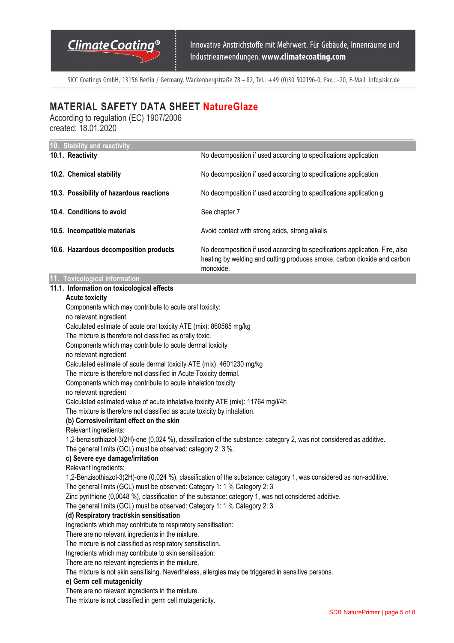SICC Coatings GmbH, 13156 Berlin / Germany, Wackenbergstraße 78 - 82, Tel.: +49 (0)30 500196-0, Fax.: -20, E-Mail: info@sicc.de

# **MATERIAL SAFETY DATA SHEET NatureGlaze**

According to regulation (EC) 1907/2006 created: 18.01.2020

| 10. Stability and reactivity                                                                                                                                                      |                                                                                                                                                                       |  |
|-----------------------------------------------------------------------------------------------------------------------------------------------------------------------------------|-----------------------------------------------------------------------------------------------------------------------------------------------------------------------|--|
| 10.1. Reactivity                                                                                                                                                                  | No decomposition if used according to specifications application                                                                                                      |  |
| 10.2. Chemical stability                                                                                                                                                          | No decomposition if used according to specifications application                                                                                                      |  |
| 10.3. Possibility of hazardous reactions                                                                                                                                          | No decomposition if used according to specifications application g                                                                                                    |  |
| 10.4. Conditions to avoid                                                                                                                                                         | See chapter 7                                                                                                                                                         |  |
| 10.5. Incompatible materials                                                                                                                                                      | Avoid contact with strong acids, strong alkalis                                                                                                                       |  |
| 10.6. Hazardous decomposition products                                                                                                                                            | No decomposition if used according to specifications application. Fire, also<br>heating by welding and cutting produces smoke, carbon dioxide and carbon<br>monoxide. |  |
| 11. Toxicological information                                                                                                                                                     |                                                                                                                                                                       |  |
| 11.1. Information on toxicological effects                                                                                                                                        |                                                                                                                                                                       |  |
| <b>Acute toxicity</b>                                                                                                                                                             |                                                                                                                                                                       |  |
| Components which may contribute to acute oral toxicity:                                                                                                                           |                                                                                                                                                                       |  |
| no relevant ingredient                                                                                                                                                            |                                                                                                                                                                       |  |
| Calculated estimate of acute oral toxicity ATE (mix): 860585 mg/kg                                                                                                                |                                                                                                                                                                       |  |
| The mixture is therefore not classified as orally toxic.                                                                                                                          |                                                                                                                                                                       |  |
| Components which may contribute to acute dermal toxicity                                                                                                                          |                                                                                                                                                                       |  |
| no relevant ingredient                                                                                                                                                            |                                                                                                                                                                       |  |
| Calculated estimate of acute dermal toxicity ATE (mix): 4601230 mg/kg                                                                                                             |                                                                                                                                                                       |  |
| The mixture is therefore not classified in Acute Toxicity dermal.                                                                                                                 |                                                                                                                                                                       |  |
| Components which may contribute to acute inhalation toxicity                                                                                                                      |                                                                                                                                                                       |  |
| no relevant ingredient                                                                                                                                                            |                                                                                                                                                                       |  |
| Calculated estimated value of acute inhalative toxicity ATE (mix): 11764 mg/l/4h                                                                                                  |                                                                                                                                                                       |  |
| The mixture is therefore not classified as acute toxicity by inhalation.                                                                                                          |                                                                                                                                                                       |  |
| (b) Corrosive/irritant effect on the skin                                                                                                                                         |                                                                                                                                                                       |  |
| Relevant ingredients:                                                                                                                                                             | 1,2-benzisothiazol-3(2H)-one (0,024 %), classification of the substance: category 2, was not considered as additive.                                                  |  |
| The general limits (GCL) must be observed: category 2: 3 %.                                                                                                                       |                                                                                                                                                                       |  |
| c) Severe eye damage/irritation                                                                                                                                                   |                                                                                                                                                                       |  |
| Relevant ingredients:                                                                                                                                                             |                                                                                                                                                                       |  |
|                                                                                                                                                                                   | 1,2-Benzisothiazol-3(2H)-one (0,024 %), classification of the substance: category 1, was considered as non-additive.                                                  |  |
| The general limits (GCL) must be observed: Category 1: 1 % Category 2: 3                                                                                                          |                                                                                                                                                                       |  |
|                                                                                                                                                                                   |                                                                                                                                                                       |  |
| Zinc pyrithione (0,0048 %), classification of the substance: category 1, was not considered additive.<br>The general limits (GCL) must be observed: Category 1: 1 % Category 2: 3 |                                                                                                                                                                       |  |
| (d) Respiratory tract/skin sensitisation                                                                                                                                          |                                                                                                                                                                       |  |
| Ingredients which may contribute to respiratory sensitisation:                                                                                                                    |                                                                                                                                                                       |  |
| There are no relevant ingredients in the mixture.                                                                                                                                 |                                                                                                                                                                       |  |
| The mixture is not classified as respiratory sensitisation.                                                                                                                       |                                                                                                                                                                       |  |
| Ingredients which may contribute to skin sensitisation:                                                                                                                           |                                                                                                                                                                       |  |
| There are no relevant ingredients in the mixture.                                                                                                                                 |                                                                                                                                                                       |  |

The mixture is not skin sensitising. Nevertheless, allergies may be triggered in sensitive persons.

#### **e) Germ cell mutagenicity**

There are no relevant ingredients in the mixture.

The mixture is not classified in germ cell mutagenicity.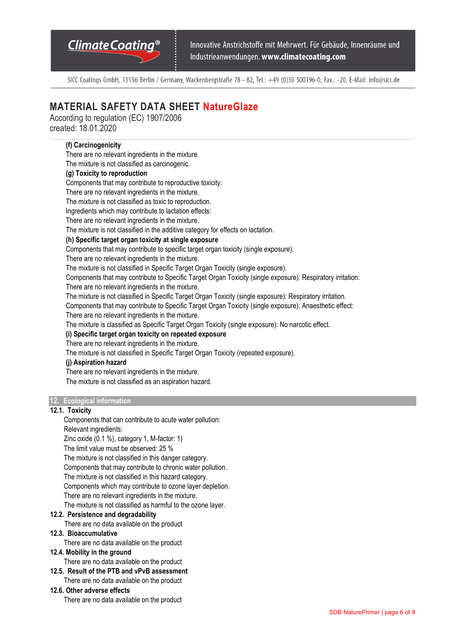Innovative Anstrichstoffe mit Mehrwert. Für Gebäude, Innenräume und Industrieanwendungen. www.climatecoating.com

SICC Coatings GmbH, 13156 Berlin / Germany, Wackenbergstraße 78 - 82, Tel.: +49 (0)30 500196-0, Fax.: -20, E-Mail: info@sicc.de

# **MATERIAL SAFETY DATA SHEET NatureGlaze**

According to regulation (EC) 1907/2006 created: 18.01.2020

### **(f) Carcinogenicity**

There are no relevant ingredients in the mixture.

The mixture is not classified as carcinogenic.

### **(g) Toxicity to reproduction**

Components that may contribute to reproductive toxicity:

There are no relevant ingredients in the mixture.

The mixture is not classified as toxic to reproduction.

Ingredients which may contribute to lactation effects:

There are no relevant ingredients in the mixture.

The mixture is not classified in the additive category for effects on lactation.

### **(h) Specific target organ toxicity at single exposure**

Components that may contribute to specific target organ toxicity (single exposure):

There are no relevant ingredients in the mixture.

The mixture is not classified in Specific Target Organ Toxicity (single exposure).

Components that may contribute to Specific Target Organ Toxicity (single exposure): Respiratory irritation:

There are no relevant ingredients in the mixture.

The mixture is not classified in Specific Target Organ Toxicity (single exposure): Respiratory irritation.

Components that may contribute to Specific Target Organ Toxicity (single exposure): Anaesthetic effect:

There are no relevant ingredients in the mixture.

The mixture is classified as Specific Target Organ Toxicity (single exposure): No narcotic effect.

**(i) Specific target organ toxicity on repeated exposure** 

There are no relevant ingredients in the mixture.

The mixture is not classified in Specific Target Organ Toxicity (repeated exposure).

#### **(j) Aspiration hazard**

There are no relevant ingredients in the mixture.

The mixture is not classified as an aspiration hazard.

#### **12. Ecological information**

#### **12.1. Toxicity**

Components that can contribute to acute water pollution: Relevant ingredients:

Zinc oxide (0.1 %), category 1, M-factor: 1)

The limit value must be observed: 25 %

The mixture is not classified in this danger category.

Components that may contribute to chronic water pollution.

The mixture is not classified in this hazard category.

Components which may contribute to ozone layer depletion.

There are no relevant ingredients in the mixture.

The mixture is not classified as harmful to the ozone layer.

### **12.2. Persistence and degradability**

There are no data available on the product

#### **12.3. Bioaccumulative**

There are no data available on the product

#### **12.4. Mobility in the ground**

There are no data available on the product

**12.5. Result of the PTB and vPvB assessment** 

There are no data available on the product

### **12.6. Other adverse effects**

There are no data available on the product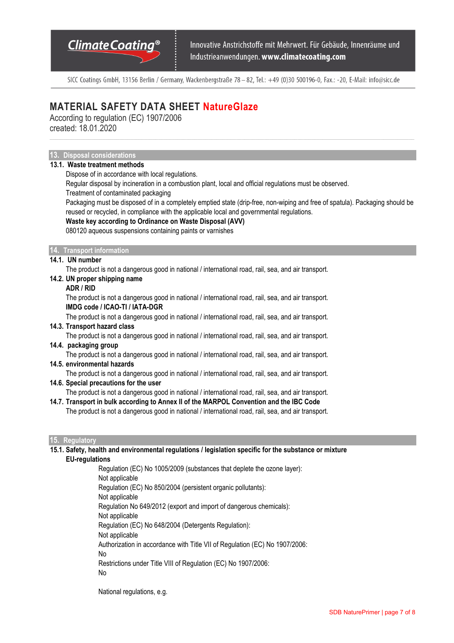Innovative Anstrichstoffe mit Mehrwert. Für Gebäude, Innenräume und Industrieanwendungen. www.climatecoating.com

SICC Coatings GmbH, 13156 Berlin / Germany, Wackenbergstraße 78 - 82, Tel.: +49 (0)30 500196-0, Fax.: -20, E-Mail: info@sicc.de

# **MATERIAL SAFETY DATA SHEET NatureGlaze**

According to regulation (EC) 1907/2006 created: 18.01.2020

### **13. Disposal considerations**

### **13.1. Waste treatment methods**

Dispose of in accordance with local regulations.

Regular disposal by incineration in a combustion plant, local and official regulations must be observed.

Treatment of contaminated packaging

Packaging must be disposed of in a completely emptied state (drip-free, non-wiping and free of spatula). Packaging should be reused or recycled, in compliance with the applicable local and governmental regulations.

#### **Waste key according to Ordinance on Waste Disposal (AVV)**

080120 aqueous suspensions containing paints or varnishes

#### **14. Transport information**

#### **14.1. UN number**

The product is not a dangerous good in national / international road, rail, sea, and air transport.

### **14.2. UN proper shipping name**

#### **ADR / RID**

The product is not a dangerous good in national / international road, rail, sea, and air transport. **IMDG code / ICAO-TI / IATA-DGR** 

The product is not a dangerous good in national / international road, rail, sea, and air transport.

#### **14.3. Transport hazard class**

The product is not a dangerous good in national / international road, rail, sea, and air transport.

#### **14.4. packaging group**

The product is not a dangerous good in national / international road, rail, sea, and air transport.

#### **14.5. environmental hazards**

The product is not a dangerous good in national / international road, rail, sea, and air transport.

## **14.6. Special precautions for the user**

The product is not a dangerous good in national / international road, rail, sea, and air transport.

**14.7. Transport in bulk according to Annex II of the MARPOL Convention and the IBC Code** 

The product is not a dangerous good in national / international road, rail, sea, and air transport.

#### **15. Regulatory**

**15.1. Safety, health and environmental regulations / legislation specific for the substance or mixture EU-regulations** 

> Regulation (EC) No 1005/2009 (substances that deplete the ozone layer): Not applicable Regulation (EC) No 850/2004 (persistent organic pollutants): Not applicable Regulation No 649/2012 (export and import of dangerous chemicals): Not applicable Regulation (EC) No 648/2004 (Detergents Regulation): Not applicable Authorization in accordance with Title VII of Regulation (EC) No 1907/2006: No Restrictions under Title VIII of Regulation (EC) No 1907/2006: No

National regulations, e.g.